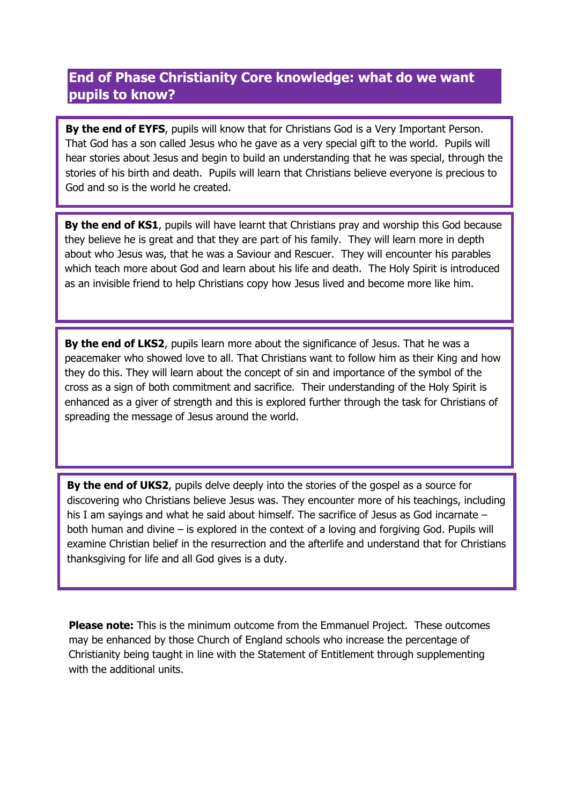#### **End of Phase Christianity Core knowledge: what do we want pupils to know?**

**By the end of EYFS**, pupils will know that for Christians God is a Very Important Person. That God has a son called Jesus who he gave as a very special gift to the world. Pupils will hear stories about Jesus and begin to build an understanding that he was special, through the stories of his birth and death. Pupils will learn that Christians believe everyone is precious to God and so is the world he created.

**By the end of KS1**, pupils will have learnt that Christians pray and worship this God because they believe he is great and that they are part of his family. They will learn more in depth about who Jesus was, that he was a Saviour and Rescuer. They will encounter his parables which teach more about God and learn about his life and death. The Holy Spirit is introduced as an invisible friend to help Christians copy how Jesus lived and become more like him.

**By the end of LKS2**, pupils learn more about the significance of Jesus. That he was a peacemaker who showed love to all. That Christians want to follow him as their King and how they do this. They will learn about the concept of sin and importance of the symbol of the cross as a sign of both commitment and sacrifice. Their understanding of the Holy Spirit is enhanced as a giver of strength and this is explored further through the task for Christians of spreading the message of Jesus around the world.

**By the end of UKS2**, pupils delve deeply into the stories of the gospel as a source for discovering who Christians believe Jesus was. They encounter more of his teachings, including his I am sayings and what he said about himself. The sacrifice of Jesus as God incarnate – both human and divine – is explored in the context of a loving and forgiving God. Pupils will examine Christian belief in the resurrection and the afterlife and understand that for Christians thanksgiving for life and all God gives is a duty.

**Please note:** This is the minimum outcome from the Emmanuel Project. These outcomes may be enhanced by those Church of England schools who increase the percentage of Christianity being taught in line with the Statement of Entitlement through supplementing with the additional units.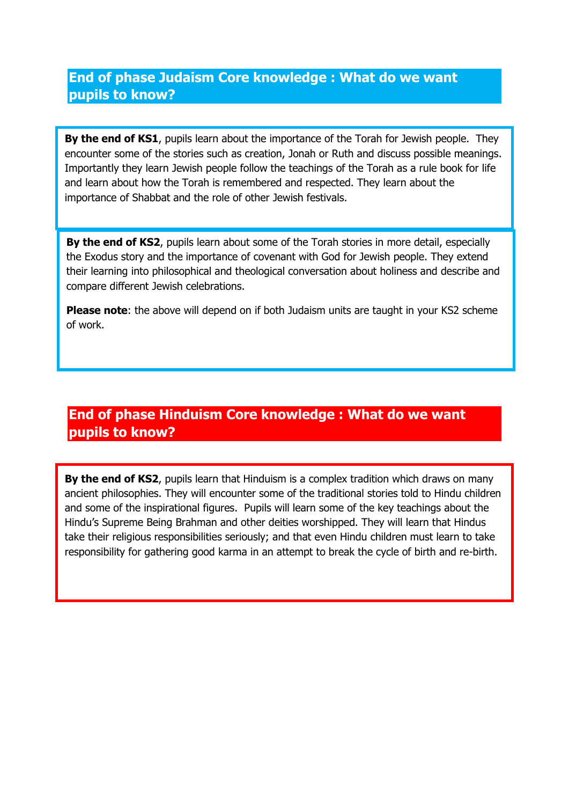#### **End of phase Judaism Core knowledge : What do we want pupils to know?**

**By the end of KS1**, pupils learn about the importance of the Torah for Jewish people. They encounter some of the stories such as creation, Jonah or Ruth and discuss possible meanings. Importantly they learn Jewish people follow the teachings of the Torah as a rule book for life and learn about how the Torah is remembered and respected. They learn about the importance of Shabbat and the role of other Jewish festivals.

**By the end of KS2**, pupils learn about some of the Torah stories in more detail, especially the Exodus story and the importance of covenant with God for Jewish people. They extend their learning into philosophical and theological conversation about holiness and describe and compare different Jewish celebrations.

**Please note**: the above will depend on if both Judaism units are taught in your KS2 scheme of work.

## **End of phase Hinduism Core knowledge : What do we want pupils to know?**

**By the end of KS2**, pupils learn that Hinduism is a complex tradition which draws on many ancient philosophies. They will encounter some of the traditional stories told to Hindu children and some of the inspirational figures. Pupils will learn some of the key teachings about the Hindu's Supreme Being Brahman and other deities worshipped. They will learn that Hindus take their religious responsibilities seriously; and that even Hindu children must learn to take responsibility for gathering good karma in an attempt to break the cycle of birth and re-birth.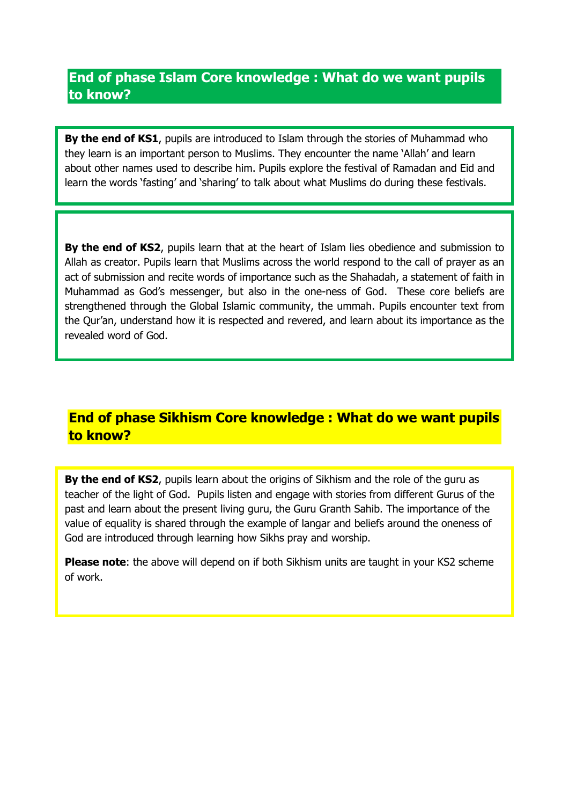#### **End of phase Islam Core knowledge : What do we want pupils to know?**

**By the end of KS1**, pupils are introduced to Islam through the stories of Muhammad who they learn is an important person to Muslims. They encounter the name 'Allah' and learn about other names used to describe him. Pupils explore the festival of Ramadan and Eid and learn the words 'fasting' and 'sharing' to talk about what Muslims do during these festivals.

.

**By the end of KS2**, pupils learn that at the heart of Islam lies obedience and submission to Allah as creator. Pupils learn that Muslims across the world respond to the call of prayer as an act of submission and recite words of importance such as the Shahadah, a statement of faith in Muhammad as God's messenger, but also in the one-ness of God. These core beliefs are strengthened through the Global Islamic community, the ummah. Pupils encounter text from the Qur'an, understand how it is respected and revered, and learn about its importance as the revealed word of God.

### **End of phase Sikhism Core knowledge : What do we want pupils to know?**

**By the end of KS2**, pupils learn about the origins of Sikhism and the role of the guru as teacher of the light of God. Pupils listen and engage with stories from different Gurus of the past and learn about the present living guru, the Guru Granth Sahib. The importance of the value of equality is shared through the example of langar and beliefs around the oneness of God are introduced through learning how Sikhs pray and worship.

**Please note**: the above will depend on if both Sikhism units are taught in your KS2 scheme of work.